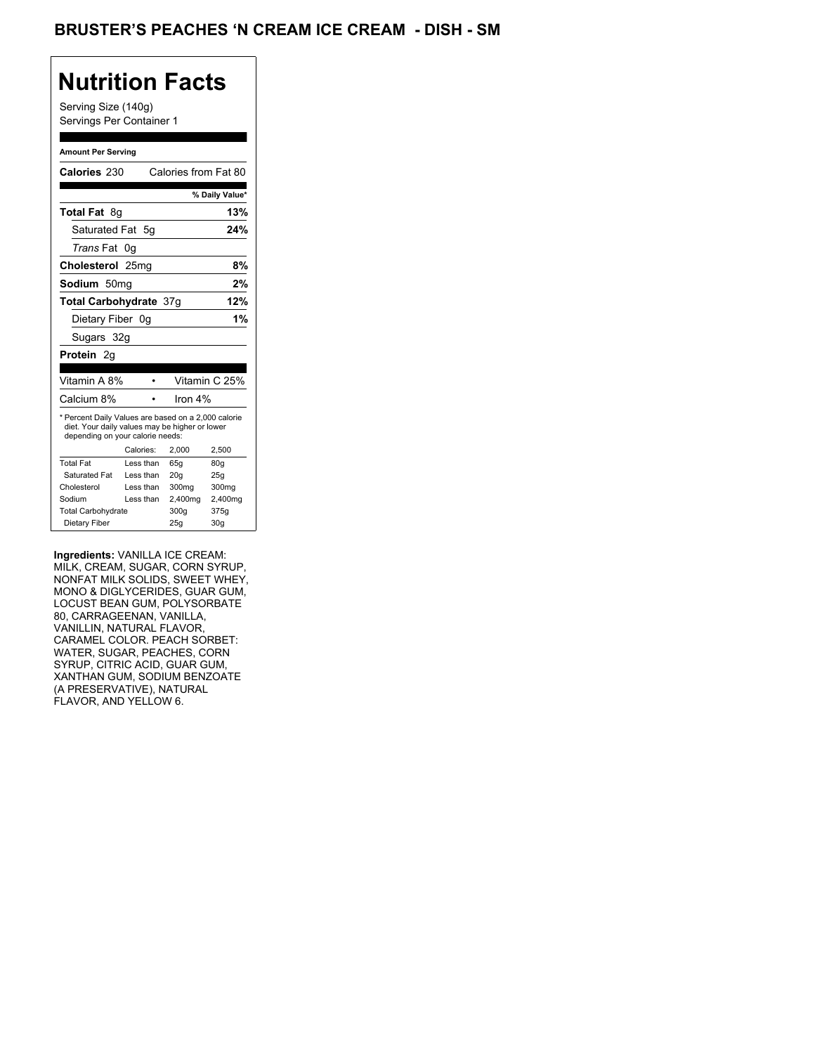## **Nutrition Facts**

Serving Size (140g) Servings Per Container 1

#### **Amount Per Serving**

| Calories 230                                                                                                                              |           | Calories from Fat 80 |                |
|-------------------------------------------------------------------------------------------------------------------------------------------|-----------|----------------------|----------------|
|                                                                                                                                           |           |                      | % Daily Value* |
| <b>Total Fat 8g</b>                                                                                                                       |           |                      | 13%            |
| Saturated Fat 5q                                                                                                                          |           |                      | 24%            |
| <i>Trans</i> Fat                                                                                                                          | 0g        |                      |                |
| Cholesterol 25mg                                                                                                                          |           |                      | 8%             |
| Sodium 50mq                                                                                                                               |           |                      | 2%             |
| <b>Total Carbohydrate 37g</b>                                                                                                             |           |                      | 12%            |
| Dietary Fiber 0q                                                                                                                          |           |                      | 1%             |
| Sugars 32g                                                                                                                                |           |                      |                |
| Protein 2g                                                                                                                                |           |                      |                |
|                                                                                                                                           |           |                      |                |
| Vitamin A 8%                                                                                                                              |           |                      | Vitamin C 25%  |
| Calcium 8%                                                                                                                                |           | Iron 4%              |                |
| * Percent Daily Values are based on a 2,000 calorie<br>diet. Your daily values may be higher or lower<br>depending on your calorie needs: |           |                      |                |
|                                                                                                                                           | Calories: | 2.000                | 2,500          |
| <b>Total Fat</b>                                                                                                                          | Less than | 65q                  | 80q            |
| Saturated Fat                                                                                                                             | Less than | 20q                  | 25q            |
| Cholesterol                                                                                                                               | Less than | 300mg                | 300mg          |
| Sodium                                                                                                                                    | Less than | 2,400mg              | 2,400mg        |
| <b>Total Carbohydrate</b>                                                                                                                 |           | 300g                 | 375g           |
| Dietary Fiber                                                                                                                             |           | 25q                  | 30q            |

**Ingredients:** VANILLA ICE CREAM: MILK, CREAM, SUGAR, CORN SYRUP, NONFAT MILK SOLIDS, SWEET WHEY, MONO & DIGLYCERIDES, GUAR GUM, LOCUST BEAN GUM, POLYSORBATE 80, CARRAGEENAN, VANILLA, VANILLIN, NATURAL FLAVOR, CARAMEL COLOR. PEACH SORBET: WATER, SUGAR, PEACHES, CORN SYRUP, CITRIC ACID, GUAR GUM, XANTHAN GUM, SODIUM BENZOATE (A PRESERVATIVE), NATURAL FLAVOR, AND YELLOW 6.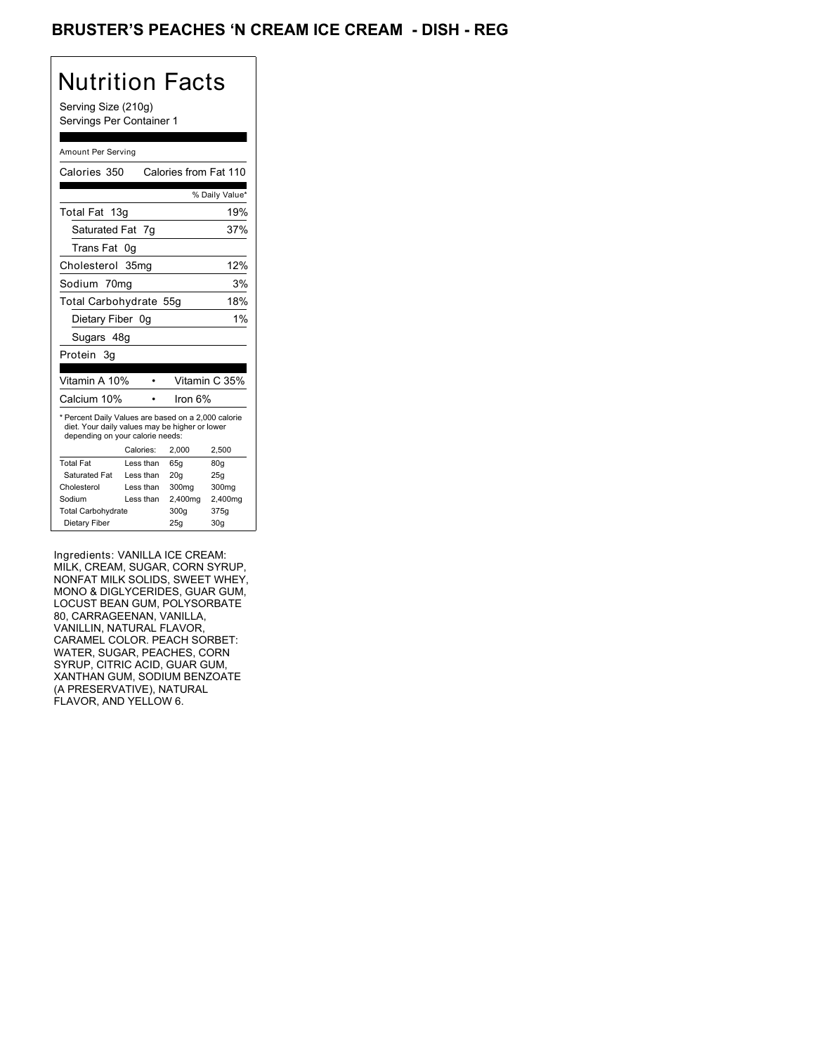## BRUSTER'S PEACHES 'N CREAM ICE CREAM - DISH - REG

# Nutrition Facts

Serving Size (210g) Servings Per Container 1

#### Amount Per Serving

| Calories 350                                                                                                                              |                  | Calories from Fat 110 |                 |
|-------------------------------------------------------------------------------------------------------------------------------------------|------------------|-----------------------|-----------------|
|                                                                                                                                           |                  |                       | % Daily Value*  |
| Total Fat 13g                                                                                                                             |                  |                       | 19%             |
| Saturated Fat                                                                                                                             | - 7g             |                       | 37%             |
| Trans Fat                                                                                                                                 | 0q               |                       |                 |
| Cholesterol                                                                                                                               | 35 <sub>mq</sub> |                       | 12%             |
| Sodium 70mg                                                                                                                               |                  |                       | 3%              |
| Total Carbohydrate 55g                                                                                                                    |                  |                       | 18%             |
| Dietary Fiber 0g                                                                                                                          |                  |                       | 1%              |
| Sugars 48g                                                                                                                                |                  |                       |                 |
| Protein 3q                                                                                                                                |                  |                       |                 |
|                                                                                                                                           |                  |                       |                 |
| Vitamin A 10%                                                                                                                             |                  |                       | Vitamin C 35%   |
| Calcium 10%                                                                                                                               |                  | Iron $6%$             |                 |
| * Percent Daily Values are based on a 2,000 calorie<br>diet. Your daily values may be higher or lower<br>depending on your calorie needs: |                  |                       |                 |
|                                                                                                                                           | Calories:        | 2,000                 | 2,500           |
| <b>Total Fat</b>                                                                                                                          | Less than        | 65q                   | 80q             |
| Saturated Fat                                                                                                                             | Less than        | 20q                   | 25q             |
| Cholesterol                                                                                                                               | Less than        | 300mg                 | 300mg           |
| Sodium                                                                                                                                    | Less than        | 2,400mg               | 2,400mg         |
| <b>Total Carbohydrate</b>                                                                                                                 |                  | 300g                  | 375g            |
| Dietary Fiber                                                                                                                             |                  | 25q                   | 30 <sub>g</sub> |

Ingredients: VANILLA ICE CREAM: MILK, CREAM, SUGAR, CORN SYRUP, NONFAT MILK SOLIDS, SWEET WHEY, MONO & DIGLYCERIDES, GUAR GUM, LOCUST BEAN GUM, POLYSORBATE 80, CARRAGEENAN, VANILLA, VANILLIN, NATURAL FLAVOR, CARAMEL COLOR. PEACH SORBET: WATER, SUGAR, PEACHES, CORN SYRUP, CITRIC ACID, GUAR GUM, XANTHAN GUM, SODIUM BENZOATE (A PRESERVATIVE), NATURAL FLAVOR, AND YELLOW 6.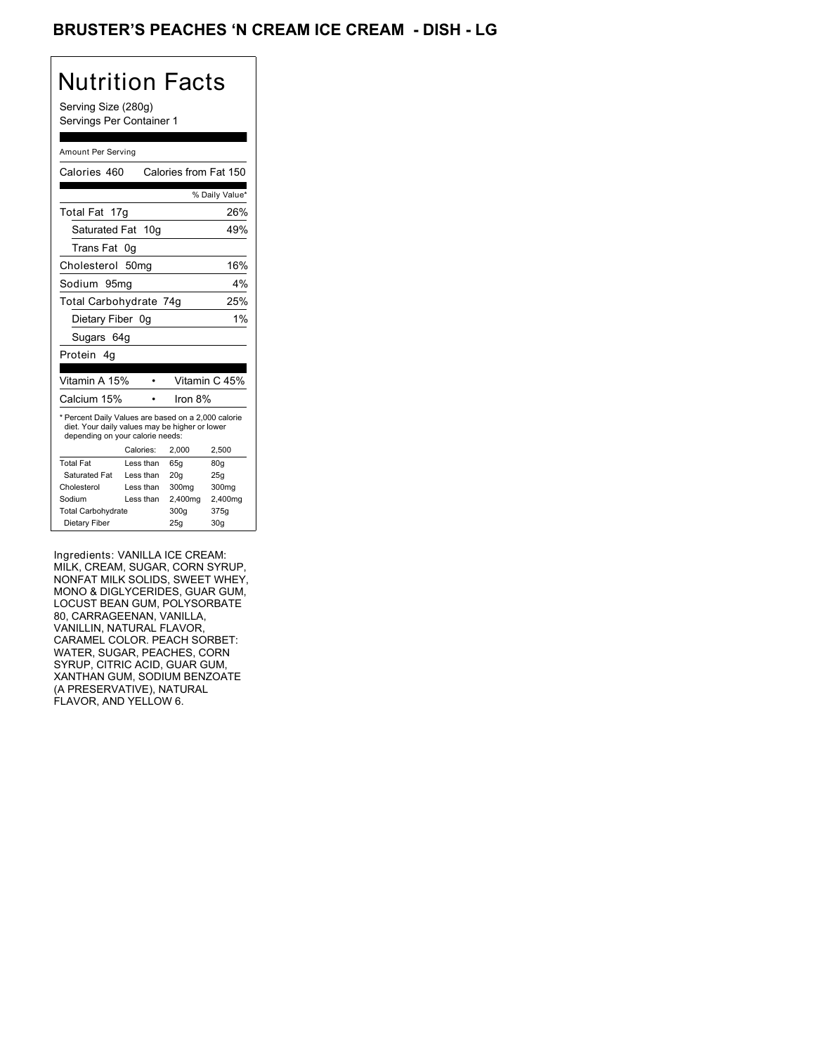## BRUSTER'S PEACHES 'N CREAM ICE CREAM - DISH - LG

# Nutrition Facts

Serving Size (280g) Servings Per Container 1

#### Amount Per Serving

| Calories 460                                                                                                                              |                  |            | Calories from Fat 150 |
|-------------------------------------------------------------------------------------------------------------------------------------------|------------------|------------|-----------------------|
|                                                                                                                                           |                  |            | % Daily Value*        |
| Total Fat 17g                                                                                                                             |                  |            | 26%                   |
| Saturated Fat 10g                                                                                                                         |                  |            | 49%                   |
| Trans Fat                                                                                                                                 | 0q               |            |                       |
| Cholesterol                                                                                                                               | 50 <sub>mq</sub> |            | 16%                   |
| Sodium 95mq                                                                                                                               |                  |            | 4%                    |
| Total Carbohydrate 74g                                                                                                                    |                  |            | 25%                   |
| Dietary Fiber 0g                                                                                                                          |                  |            | 1%                    |
| Sugars 64g                                                                                                                                |                  |            |                       |
| Protein 4q                                                                                                                                |                  |            |                       |
|                                                                                                                                           |                  |            |                       |
| Vitamin A 15%                                                                                                                             |                  |            | Vitamin C 45%         |
| Calcium 15%                                                                                                                               |                  | Iron $8\%$ |                       |
| * Percent Daily Values are based on a 2,000 calorie<br>diet. Your daily values may be higher or lower<br>depending on your calorie needs: |                  |            |                       |
|                                                                                                                                           | Calories:        | 2,000      | 2,500                 |
| <b>Total Fat</b>                                                                                                                          | Less than        | 65q        | 80q                   |
| Saturated Fat                                                                                                                             | Less than        | 20q        | 25q                   |
| Cholesterol                                                                                                                               | Less than        | 300mg      | 300mg                 |
| Sodium                                                                                                                                    | Less than        | 2,400mg    | 2,400mg               |
| <b>Total Carbohydrate</b>                                                                                                                 |                  | 300g       | 375g                  |
| Dietary Fiber                                                                                                                             |                  | 25q        | 30 <sub>g</sub>       |

Ingredients: VANILLA ICE CREAM: MILK, CREAM, SUGAR, CORN SYRUP, NONFAT MILK SOLIDS, SWEET WHEY, MONO & DIGLYCERIDES, GUAR GUM, LOCUST BEAN GUM, POLYSORBATE 80, CARRAGEENAN, VANILLA, VANILLIN, NATURAL FLAVOR, CARAMEL COLOR. PEACH SORBET: WATER, SUGAR, PEACHES, CORN SYRUP, CITRIC ACID, GUAR GUM, XANTHAN GUM, SODIUM BENZOATE (A PRESERVATIVE), NATURAL FLAVOR, AND YELLOW 6.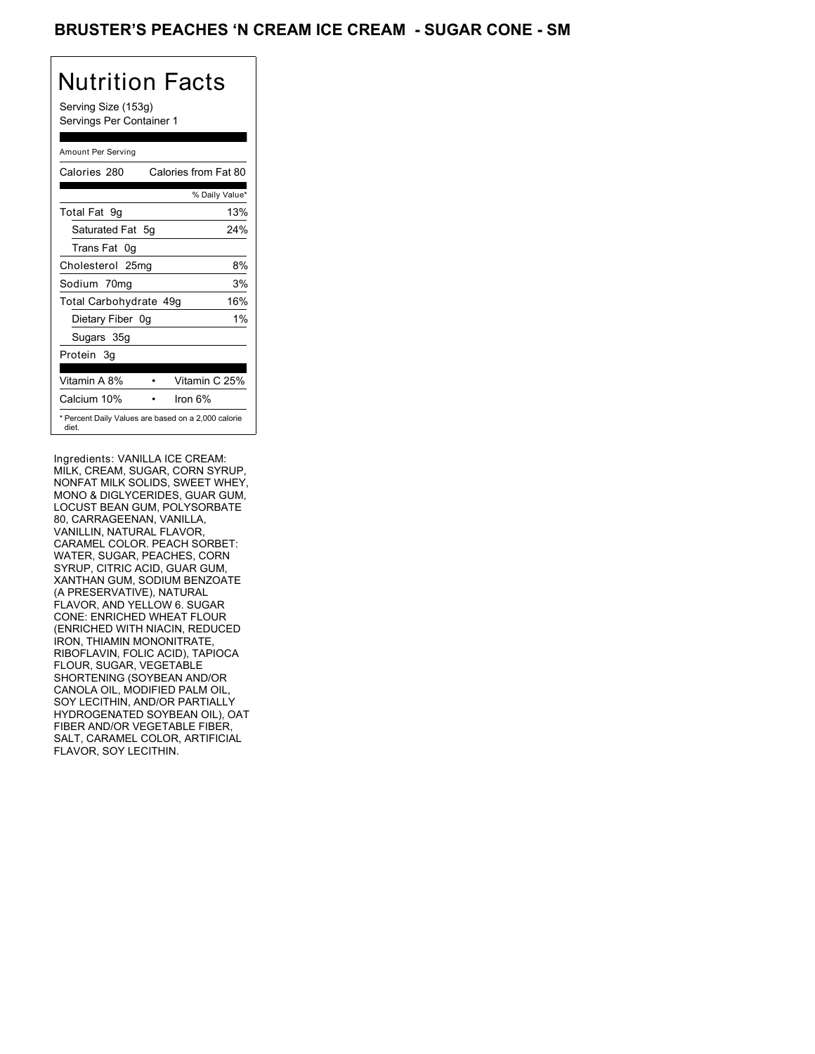## BRUSTER'S PEACHES 'N CREAM ICE CREAM - SUGAR CONE - SM

## Nutrition Facts

Serving Size (153g) Servings Per Container 1

#### Amount Per Serving

| Calories 280                                                 |    | Calories from Fat 80 |       |
|--------------------------------------------------------------|----|----------------------|-------|
|                                                              |    | % Daily Value*       |       |
| Total Fat 9g                                                 |    |                      | 13%   |
| Saturated Fat 5q                                             |    |                      | 24%   |
| Trans Fat 0q                                                 |    |                      |       |
| Cholesterol 25mg                                             |    |                      | 8%    |
| Sodium 70mg                                                  |    |                      | 3%    |
| Total Carbohydrate 49g                                       |    |                      | 16%   |
| Dietary Fiber                                                | 0g |                      | $1\%$ |
| Sugars 35g                                                   |    |                      |       |
| Protein 3g                                                   |    |                      |       |
|                                                              |    |                      |       |
| Vitamin A 8%                                                 |    | Vitamin C 25%        |       |
| Calcium 10%                                                  |    | Iron 6%              |       |
| * Percent Daily Values are based on a 2,000 calorie<br>diet. |    |                      |       |

Ingredients: VANILLA ICE CREAM: MILK, CREAM, SUGAR, CORN SYRUP, NONFAT MILK SOLIDS, SWEET WHEY, MONO & DIGLYCERIDES, GUAR GUM, LOCUST BEAN GUM, POLYSORBATE 80, CARRAGEENAN, VANILLA, VANILLIN, NATURAL FLAVOR, CARAMEL COLOR. PEACH SORBET: WATER, SUGAR, PEACHES, CORN SYRUP, CITRIC ACID, GUAR GUM, XANTHAN GUM, SODIUM BENZOATE (A PRESERVATIVE), NATURAL FLAVOR, AND YELLOW 6. SUGAR CONE: ENRICHED WHEAT FLOUR (ENRICHED WITH NIACIN, REDUCED IRON, THIAMIN MONONITRATE, RIBOFLAVIN, FOLIC ACID), TAPIOCA FLOUR, SUGAR, VEGETABLE SHORTENING (SOYBEAN AND/OR CANOLA OIL, MODIFIED PALM OIL, SOY LECITHIN, AND/OR PARTIALLY HYDROGENATED SOYBEAN OIL), OAT FIBER AND/OR VEGETABLE FIBER, SALT, CARAMEL COLOR, ARTIFICIAL FLAVOR, SOY LECITHIN.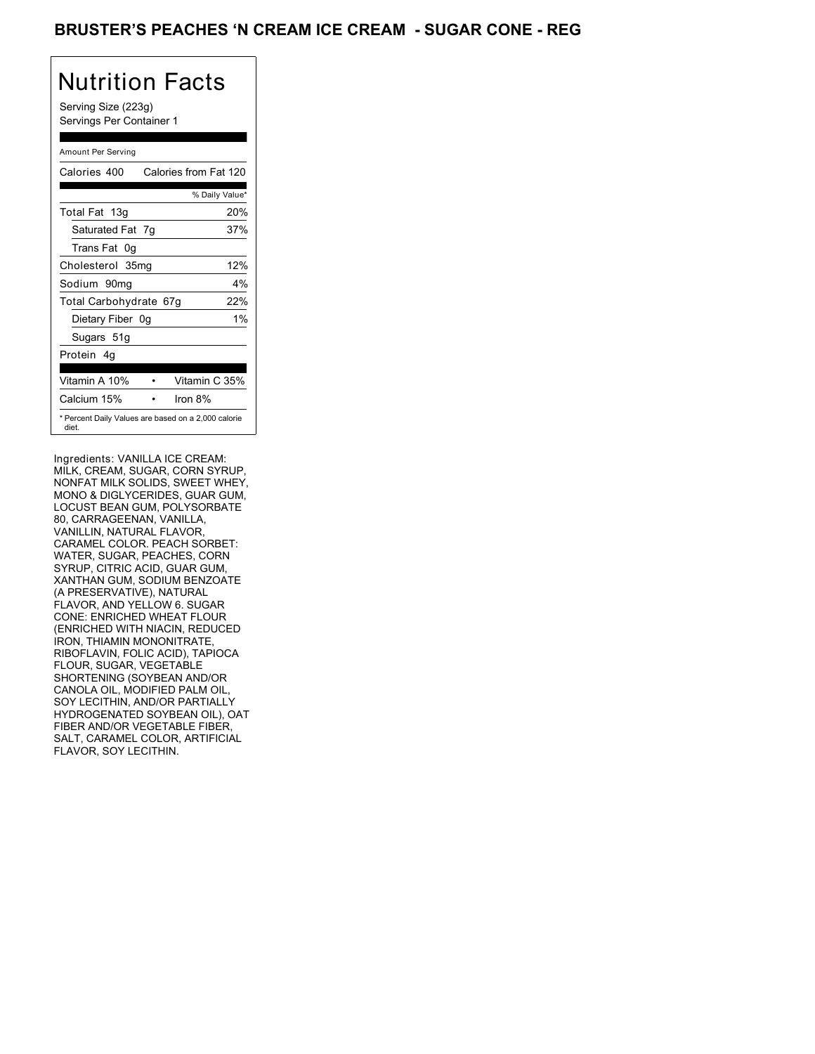## BRUSTER'S PEACHES **'N CREAM ICE CREAM - SUGAR CONE - REG**

# Nutrition Facts

Serving Size (223g) Servings Per Container 1

#### Amount Per Serving

| Calories 400           |    | Calories from Fat 120                               |
|------------------------|----|-----------------------------------------------------|
|                        |    | % Daily Value*                                      |
| Total Fat 13g          |    | 20%                                                 |
| Saturated Fat 7g       |    | 37%                                                 |
| Trans Fat 0g           |    |                                                     |
| Cholesterol 35mg       |    | 12%                                                 |
| Sodium 90mq            |    | 4%                                                  |
| Total Carbohydrate 67g |    | 22%                                                 |
| Dietary Fiber          | 0a | $1\%$                                               |
| Sugars 51g             |    |                                                     |
| Protein 4q             |    |                                                     |
| Vitamin A 10%          |    | Vitamin C 35%                                       |
| Calcium 15%            |    | Iron $8\%$                                          |
| diet.                  |    | * Percent Daily Values are based on a 2,000 calorie |

Ingredients: VANILLA ICE CREAM: MILK, CREAM, SUGAR, CORN SYRUP, NONFAT MILK SOLIDS, SWEET WHEY, MONO & DIGLYCERIDES, GUAR GUM, LOCUST BEAN GUM, POLYSORBATE 80, CARRAGEENAN, VANILLA, VANILLIN, NATURAL FLAVOR, CARAMEL COLOR. PEACH SORBET: WATER, SUGAR, PEACHES, CORN SYRUP, CITRIC ACID, GUAR GUM, XANTHAN GUM, SODIUM BENZOATE (A PRESERVATIVE), NATURAL FLAVOR, AND YELLOW 6. SUGAR CONE: ENRICHED WHEAT FLOUR (ENRICHED WITH NIACIN, REDUCED IRON, THIAMIN MONONITRATE, RIBOFLAVIN, FOLIC ACID), TAPIOCA FLOUR, SUGAR, VEGETABLE SHORTENING (SOYBEAN AND/OR CANOLA OIL, MODIFIED PALM OIL, SOY LECITHIN, AND/OR PARTIALLY HYDROGENATED SOYBEAN OIL), OAT FIBER AND/OR VEGETABLE FIBER, SALT, CARAMEL COLOR, ARTIFICIAL FLAVOR, SOY LECITHIN.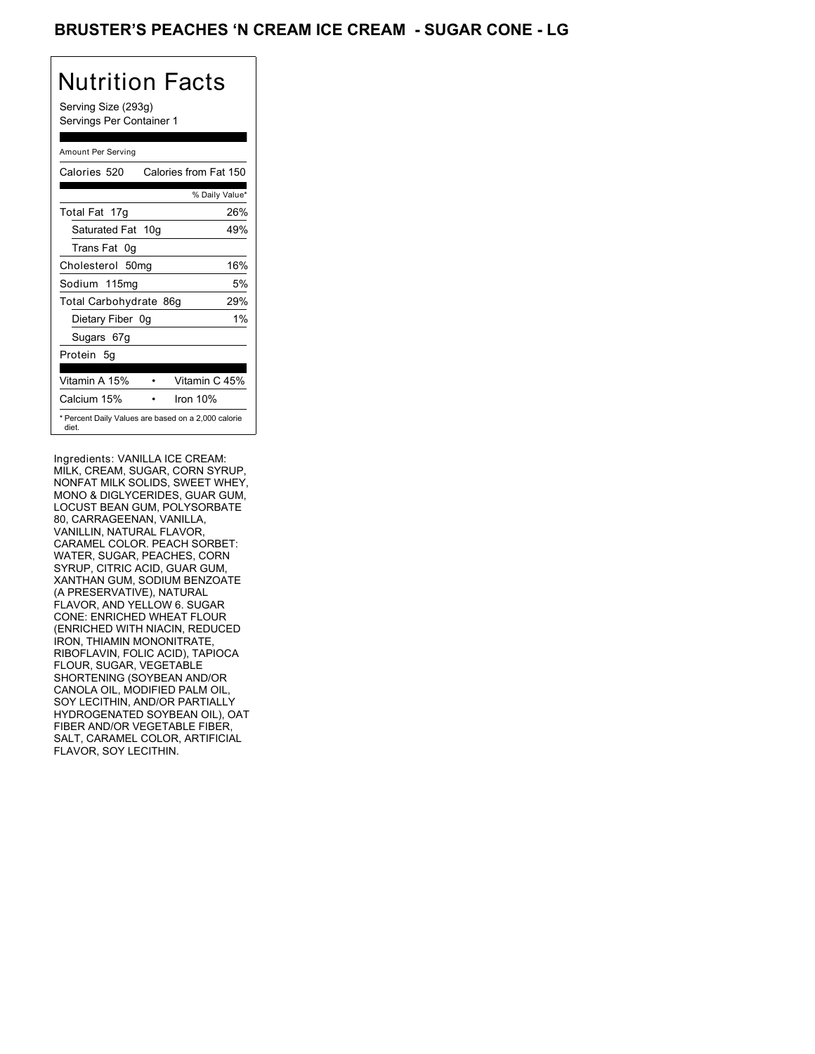## BRUSTER'S PEACHES **'N CREAM ICE CREAM - SUGAR CONE** - LG

# Nutrition Facts

Serving Size (293g) Servings Per Container 1

#### Amount Per Serving

| Calories 520           | Calories from Fat 150                               |
|------------------------|-----------------------------------------------------|
|                        | % Daily Value*                                      |
| Total Fat 17g          | 26%                                                 |
| Saturated Fat 10g      | 49%                                                 |
| Trans Fat 0q           |                                                     |
| Cholesterol 50mg       | 16%                                                 |
| Sodium 115mg           | 5%                                                  |
| Total Carbohydrate 86g | 29%                                                 |
| Dietary Fiber 0g       | $1\%$                                               |
| Sugars 67g             |                                                     |
| Protein 5q             |                                                     |
| Vitamin A 15%          | Vitamin C 45%                                       |
| Calcium 15%            | Iron 10%                                            |
| diet.                  | * Percent Daily Values are based on a 2,000 calorie |

Ingredients: VANILLA ICE CREAM: MILK, CREAM, SUGAR, CORN SYRUP, NONFAT MILK SOLIDS, SWEET WHEY, MONO & DIGLYCERIDES, GUAR GUM, LOCUST BEAN GUM, POLYSORBATE 80, CARRAGEENAN, VANILLA, VANILLIN, NATURAL FLAVOR, CARAMEL COLOR. PEACH SORBET: WATER, SUGAR, PEACHES, CORN SYRUP, CITRIC ACID, GUAR GUM, XANTHAN GUM, SODIUM BENZOATE (A PRESERVATIVE), NATURAL FLAVOR, AND YELLOW 6. SUGAR CONE: ENRICHED WHEAT FLOUR (ENRICHED WITH NIACIN, REDUCED IRON, THIAMIN MONONITRATE, RIBOFLAVIN, FOLIC ACID), TAPIOCA FLOUR, SUGAR, VEGETABLE SHORTENING (SOYBEAN AND/OR CANOLA OIL, MODIFIED PALM OIL, SOY LECITHIN, AND/OR PARTIALLY HYDROGENATED SOYBEAN OIL), OAT FIBER AND/OR VEGETABLE FIBER, SALT, CARAMEL COLOR, ARTIFICIAL FLAVOR, SOY LECITHIN.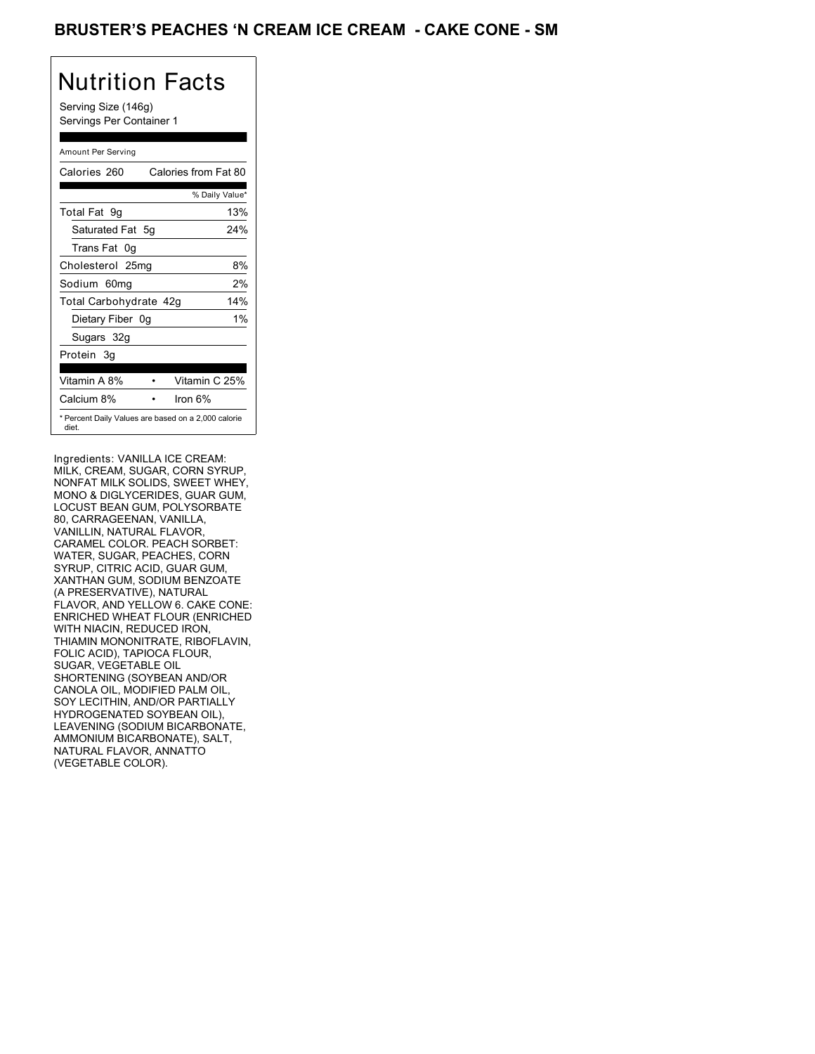## BRUSTER'S PEACHES 'N CREAM ICE CREAM - CAKE CONE - SM

## Nutrition Facts

Serving Size (146g) Servings Per Container 1

#### Amount Per Serving

| Calories 260                                                 |    | Calories from Fat 80 |       |
|--------------------------------------------------------------|----|----------------------|-------|
|                                                              |    | % Daily Value*       |       |
| Total Fat 9g                                                 |    |                      | 13%   |
| Saturated Fat 5q                                             |    |                      | 24%   |
| Trans Fat 0q                                                 |    |                      |       |
| Cholesterol 25mg                                             |    |                      | 8%    |
| Sodium 60mg                                                  |    |                      | 2%    |
| Total Carbohydrate 42g                                       |    |                      | 14%   |
| Dietary Fiber                                                | 0g |                      | $1\%$ |
| Sugars 32g                                                   |    |                      |       |
| Protein 3g                                                   |    |                      |       |
|                                                              |    |                      |       |
| Vitamin A 8%                                                 |    | Vitamin C 25%        |       |
| Calcium 8%                                                   |    | Iron 6%              |       |
| * Percent Daily Values are based on a 2,000 calorie<br>diet. |    |                      |       |

Ingredients: VANILLA ICE CREAM: MILK, CREAM, SUGAR, CORN SYRUP, NONFAT MILK SOLIDS, SWEET WHEY, MONO & DIGLYCERIDES, GUAR GUM, LOCUST BEAN GUM, POLYSORBATE 80, CARRAGEENAN, VANILLA, VANILLIN, NATURAL FLAVOR, CARAMEL COLOR. PEACH SORBET: WATER, SUGAR, PEACHES, CORN SYRUP, CITRIC ACID, GUAR GUM, XANTHAN GUM, SODIUM BENZOATE (A PRESERVATIVE), NATURAL FLAVOR, AND YELLOW 6. CAKE CONE: ENRICHED WHEAT FLOUR (ENRICHED WITH NIACIN, REDUCED IRON, THIAMIN MONONITRATE, RIBOFLAVIN, FOLIC ACID), TAPIOCA FLOUR, SUGAR, VEGETABLE OIL SHORTENING (SOYBEAN AND/OR CANOLA OIL, MODIFIED PALM OIL, SOY LECITHIN, AND/OR PARTIALLY HYDROGENATED SOYBEAN OIL), LEAVENING (SODIUM BICARBONATE, AMMONIUM BICARBONATE), SALT, NATURAL FLAVOR, ANNATTO (VEGETABLE COLOR).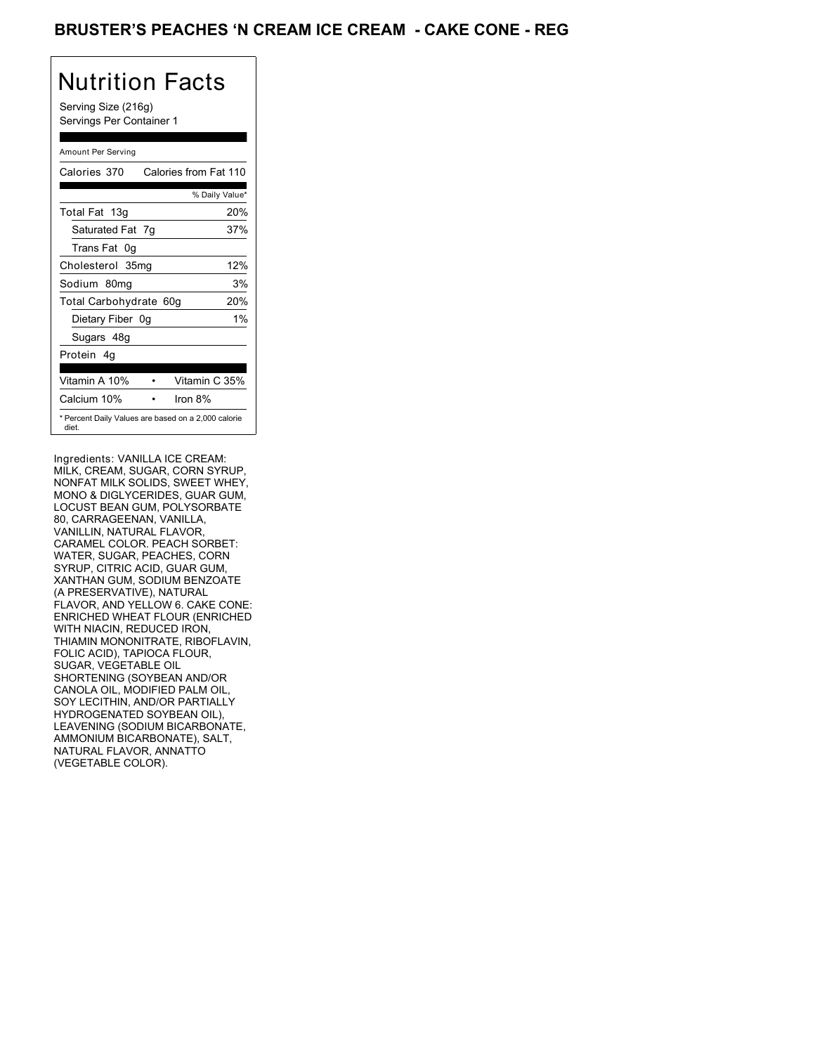## BRUSTER'S PEACHES **'N CREAM ICE CREAM - CAKE CONE - REG**

# Nutrition Facts

Serving Size (216g) Servings Per Container 1

#### Amount Per Serving

| Calories 370           | Calories from Fat 110                               |
|------------------------|-----------------------------------------------------|
|                        | % Daily Value*                                      |
| Total Fat 13g          | 20%                                                 |
| Saturated Fat 7g       | 37%                                                 |
| Trans Fat 0q           |                                                     |
| Cholesterol 35mg       | 12%                                                 |
| Sodium 80mg            | 3%                                                  |
| Total Carbohydrate 60g | 20%                                                 |
| Dietary Fiber 0g       | $1\%$                                               |
| Sugars 48g             |                                                     |
| Protein 4q             |                                                     |
| Vitamin A 10%          | Vitamin C 35%                                       |
| Calcium 10%            | Iron 8%                                             |
| diet.                  | * Percent Daily Values are based on a 2,000 calorie |

Ingredients: VANILLA ICE CREAM: MILK, CREAM, SUGAR, CORN SYRUP, NONFAT MILK SOLIDS, SWEET WHEY, MONO & DIGLYCERIDES, GUAR GUM, LOCUST BEAN GUM, POLYSORBATE 80, CARRAGEENAN, VANILLA, VANILLIN, NATURAL FLAVOR, CARAMEL COLOR. PEACH SORBET: WATER, SUGAR, PEACHES, CORN SYRUP, CITRIC ACID, GUAR GUM, XANTHAN GUM, SODIUM BENZOATE (A PRESERVATIVE), NATURAL FLAVOR, AND YELLOW 6. CAKE CONE: ENRICHED WHEAT FLOUR (ENRICHED WITH NIACIN, REDUCED IRON, THIAMIN MONONITRATE, RIBOFLAVIN, FOLIC ACID), TAPIOCA FLOUR, SUGAR, VEGETABLE OIL SHORTENING (SOYBEAN AND/OR CANOLA OIL, MODIFIED PALM OIL, SOY LECITHIN, AND/OR PARTIALLY HYDROGENATED SOYBEAN OIL), LEAVENING (SODIUM BICARBONATE, AMMONIUM BICARBONATE), SALT, NATURAL FLAVOR, ANNATTO (VEGETABLE COLOR).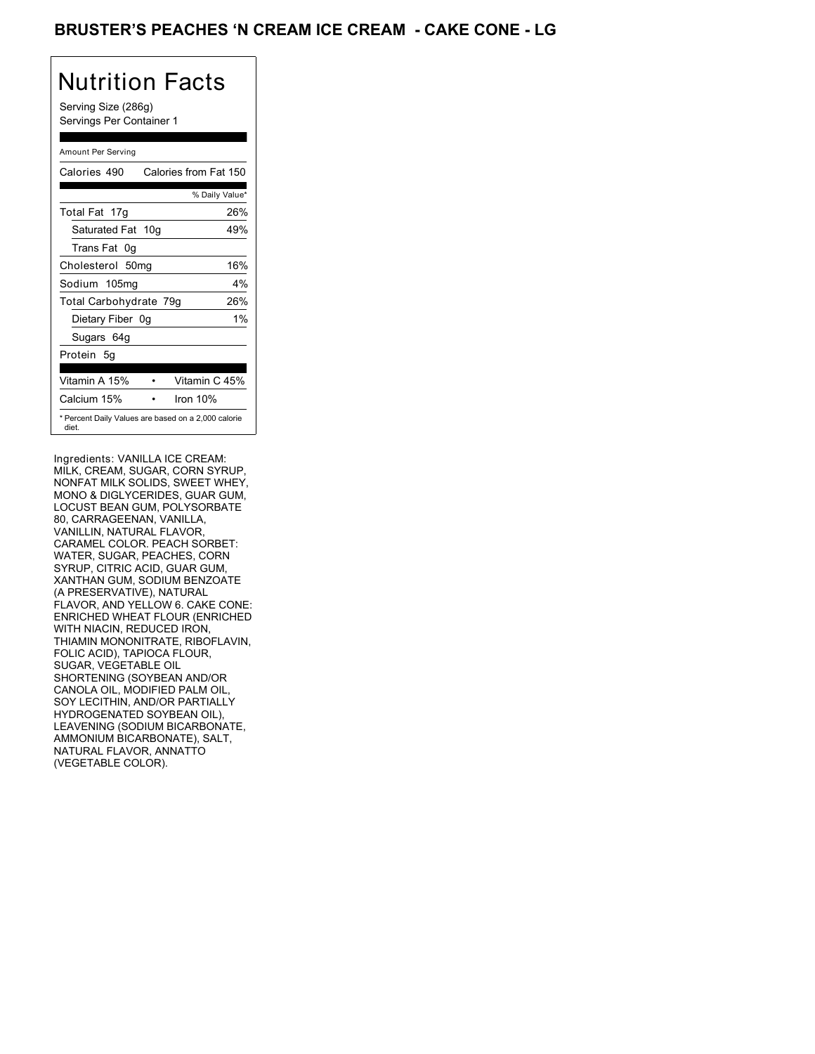## BRUSTER'S PEACHES 'N CREAM ICE CREAM - CAKE CONE - LG

# Nutrition Facts

Serving Size (286g) Servings Per Container 1

#### Amount Per Serving

| Calories 490           | Calories from Fat 150                               |
|------------------------|-----------------------------------------------------|
|                        | % Daily Value*                                      |
| Total Fat 17g          | 26%                                                 |
| Saturated Fat 10g      | 49%                                                 |
| Trans Fat 0q           |                                                     |
| Cholesterol 50mg       | 16%                                                 |
| Sodium 105mg           | 4%                                                  |
| Total Carbohydrate 79g | 26%                                                 |
| Dietary Fiber 0g       | $1\%$                                               |
| Sugars 64g             |                                                     |
| Protein 5q             |                                                     |
| Vitamin A 15%          | Vitamin C 45%                                       |
| Calcium 15%            | Iron 10%                                            |
| diet.                  | * Percent Daily Values are based on a 2,000 calorie |

Ingredients: VANILLA ICE CREAM: MILK, CREAM, SUGAR, CORN SYRUP, NONFAT MILK SOLIDS, SWEET WHEY, MONO & DIGLYCERIDES, GUAR GUM, LOCUST BEAN GUM, POLYSORBATE 80, CARRAGEENAN, VANILLA, VANILLIN, NATURAL FLAVOR, CARAMEL COLOR. PEACH SORBET: WATER, SUGAR, PEACHES, CORN SYRUP, CITRIC ACID, GUAR GUM, XANTHAN GUM, SODIUM BENZOATE (A PRESERVATIVE), NATURAL FLAVOR, AND YELLOW 6. CAKE CONE: ENRICHED WHEAT FLOUR (ENRICHED WITH NIACIN, REDUCED IRON, THIAMIN MONONITRATE, RIBOFLAVIN, FOLIC ACID), TAPIOCA FLOUR, SUGAR, VEGETABLE OIL SHORTENING (SOYBEAN AND/OR CANOLA OIL, MODIFIED PALM OIL, SOY LECITHIN, AND/OR PARTIALLY HYDROGENATED SOYBEAN OIL), LEAVENING (SODIUM BICARBONATE, AMMONIUM BICARBONATE), SALT, NATURAL FLAVOR, ANNATTO (VEGETABLE COLOR).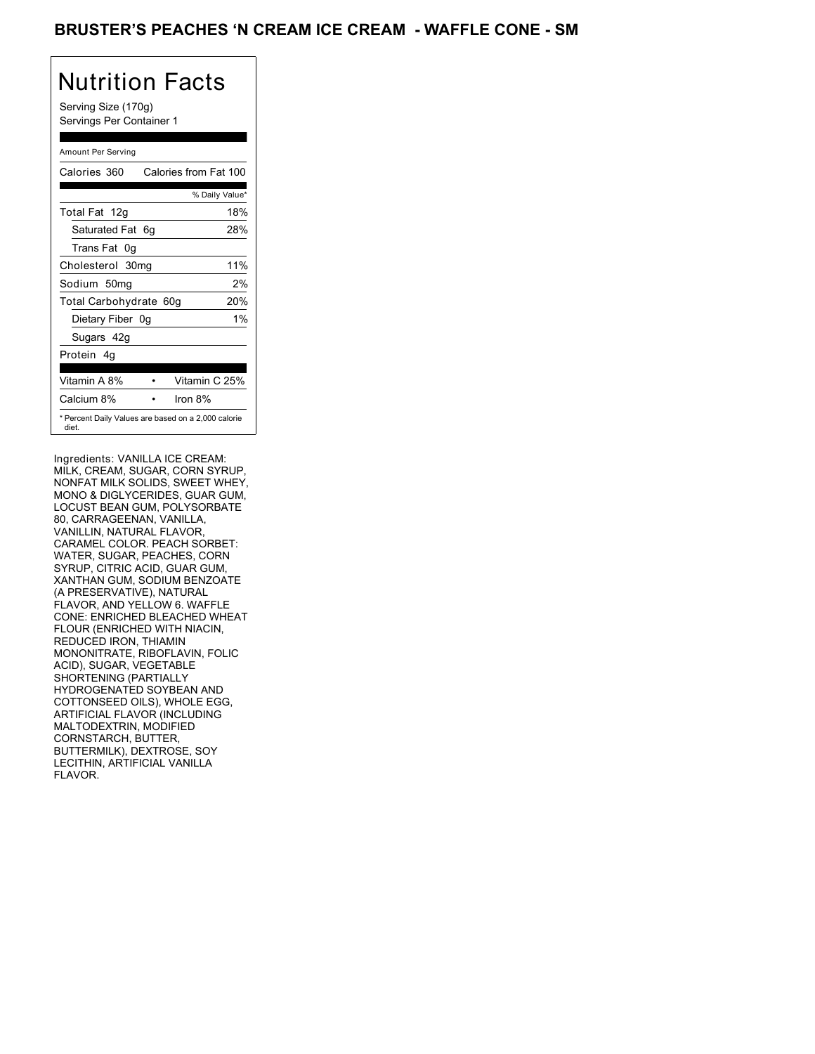## BRUSTER'S PEACHES **'N CREAM ICE CREAM - WAFFLE CONE** - SM

# Nutrition Facts

Serving Size (170g) Servings Per Container 1

#### Amount Per Serving

| Calories 360           |    | Calories from Fat 100                               |
|------------------------|----|-----------------------------------------------------|
|                        |    | % Daily Value*                                      |
| Total Fat 12g          |    | 18%                                                 |
| Saturated Fat 6g       |    | 28%                                                 |
| Trans Fat 0g           |    |                                                     |
| Cholesterol 30mg       |    | 11%                                                 |
| Sodium 50mq            |    | 2%                                                  |
| Total Carbohydrate 60g |    | 20%                                                 |
| Dietary Fiber          | 0a | $1\%$                                               |
| Sugars 42g             |    |                                                     |
| Protein 4q             |    |                                                     |
| Vitamin A 8%           |    | Vitamin C 25%                                       |
| Calcium 8%             |    | Iron $8\%$                                          |
| diet.                  |    | * Percent Daily Values are based on a 2,000 calorie |

Ingredients: VANILLA ICE CREAM: MILK, CREAM, SUGAR, CORN SYRUP, NONFAT MILK SOLIDS, SWEET WHEY, MONO & DIGLYCERIDES, GUAR GUM, LOCUST BEAN GUM, POLYSORBATE 80, CARRAGEENAN, VANILLA, VANILLIN, NATURAL FLAVOR, CARAMEL COLOR. PEACH SORBET: WATER, SUGAR, PEACHES, CORN SYRUP, CITRIC ACID, GUAR GUM, XANTHAN GUM, SODIUM BENZOATE (A PRESERVATIVE), NATURAL FLAVOR, AND YELLOW 6. WAFFLE CONE: ENRICHED BLEACHED WHEAT FLOUR (ENRICHED WITH NIACIN, REDUCED IRON, THIAMIN MONONITRATE, RIBOFLAVIN, FOLIC ACID), SUGAR, VEGETABLE SHORTENING (PARTIALLY HYDROGENATED SOYBEAN AND COTTONSEED OILS), WHOLE EGG, ARTIFICIAL FLAVOR (INCLUDING MALTODEXTRIN, MODIFIED CORNSTARCH, BUTTER, BUTTERMILK), DEXTROSE, SOY LECITHIN, ARTIFICIAL VANILLA FLAVOR.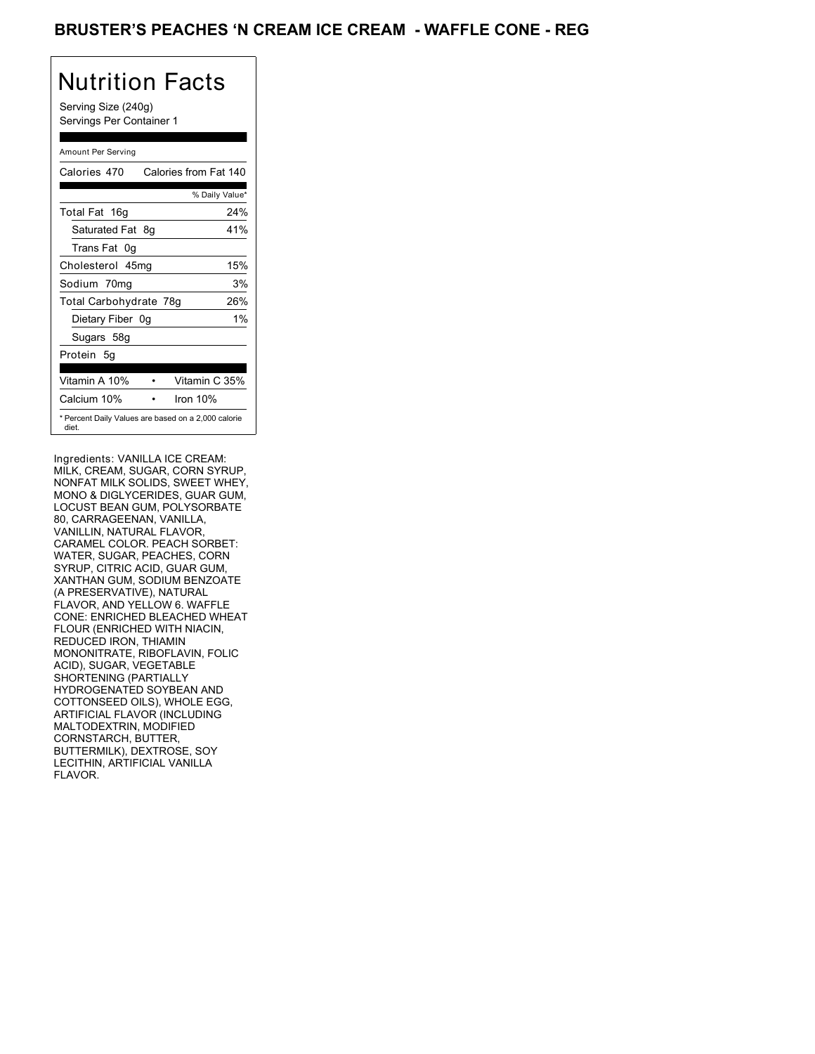## BRUSTER'S PEACHES **'N CREAM ICE CREAM - WAFFLE CONE** - REG

## Nutrition Facts

Serving Size (240g) Servings Per Container 1

#### Amount Per Serving

| Calories 470           | Calories from Fat 140                               |
|------------------------|-----------------------------------------------------|
|                        | % Daily Value*                                      |
| Total Fat 16g          | 24%                                                 |
| Saturated Fat 8q       | 41%                                                 |
| Trans Fat 0q           |                                                     |
| Cholesterol 45mg       | 15%                                                 |
| Sodium 70mg            | 3%                                                  |
| Total Carbohydrate 78g | 26%                                                 |
| Dietary Fiber 0g       | $1\%$                                               |
| Sugars 58g             |                                                     |
| Protein 5q             |                                                     |
| Vitamin A 10%          | Vitamin C 35%                                       |
| Calcium 10%            | Iron 10%                                            |
| diet.                  | * Percent Daily Values are based on a 2,000 calorie |

Ingredients: VANILLA ICE CREAM: MILK, CREAM, SUGAR, CORN SYRUP, NONFAT MILK SOLIDS, SWEET WHEY, MONO & DIGLYCERIDES, GUAR GUM, LOCUST BEAN GUM, POLYSORBATE 80, CARRAGEENAN, VANILLA, VANILLIN, NATURAL FLAVOR, CARAMEL COLOR. PEACH SORBET: WATER, SUGAR, PEACHES, CORN SYRUP, CITRIC ACID, GUAR GUM, XANTHAN GUM, SODIUM BENZOATE (A PRESERVATIVE), NATURAL FLAVOR, AND YELLOW 6. WAFFLE CONE: ENRICHED BLEACHED WHEAT FLOUR (ENRICHED WITH NIACIN, REDUCED IRON, THIAMIN MONONITRATE, RIBOFLAVIN, FOLIC ACID), SUGAR, VEGETABLE SHORTENING (PARTIALLY HYDROGENATED SOYBEAN AND COTTONSEED OILS), WHOLE EGG, ARTIFICIAL FLAVOR (INCLUDING MALTODEXTRIN, MODIFIED CORNSTARCH, BUTTER, BUTTERMILK), DEXTROSE, SOY LECITHIN, ARTIFICIAL VANILLA FLAVOR.